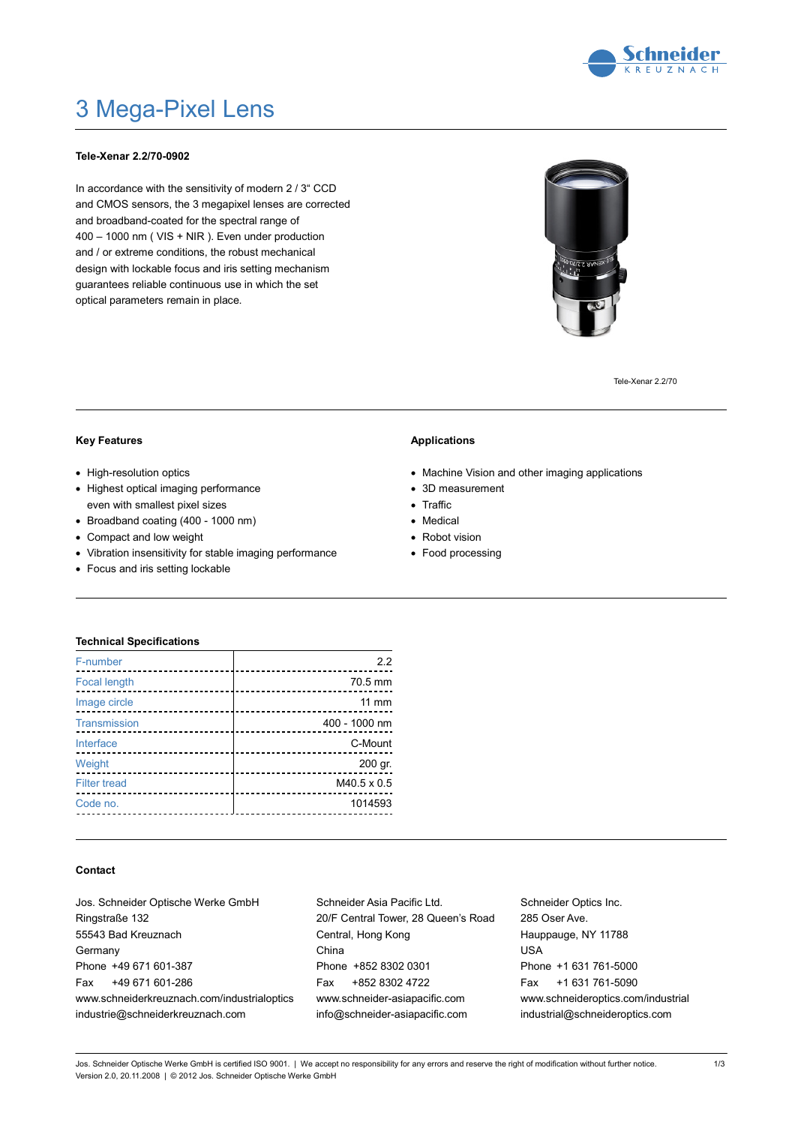

# 3 Mega-Pixel Lens

## **Tele-Xenar 2.2/70-0902**

In accordance with the sensitivity of modern 2 / 3" CCD and CMOS sensors, the 3 megapixel lenses are corrected and broadband-coated for the spectral range of 400 – 1000 nm ( VIS + NIR ). Even under production and / or extreme conditions, the robust mechanical design with lockable focus and iris setting mechanism guarantees reliable continuous use in which the set optical parameters remain in place.



Tele-Xenar 2.2/70

### **Key Features**

- High-resolution optics
- Highest optical imaging performance even with smallest pixel sizes
- Broadband coating (400 1000 nm)
- Compact and low weight
- Vibration insensitivity for stable imaging performance
- Focus and iris setting lockable

## **Applications**

- Machine Vision and other imaging applications
- 3D measurement
- Traffic
- Medical
- Robot vision
- Food processing

## **Technical Specifications**

| F-number                       | 22            |
|--------------------------------|---------------|
| <b>Focal length</b><br>.       | 70.5 mm       |
| Image circle<br>-------------- | 11 mm         |
| Transmission                   | 400 - 1000 nm |
| Interface                      | C-Mount       |
| Weight<br>.                    | 200 gr.       |
| <b>Filter tread</b>            | M40.5 x 0.5   |
| Code no.                       | 1014593       |
|                                |               |

## **Contact**

| Jos. Schneider Optische Werke GmbH          |  |  |
|---------------------------------------------|--|--|
| Ringstraße 132                              |  |  |
| 55543 Bad Kreuznach                         |  |  |
| Germany                                     |  |  |
| Phone +49 671 601-387                       |  |  |
| Fax +49 671 601-286                         |  |  |
| www.schneiderkreuznach.com/industrialoptics |  |  |
| industrie@schneiderkreuznach.com            |  |  |

Schneider Asia Pacific Ltd. 20/F Central Tower, 28 Queen's Road Central, Hong Kong China Phone +852 8302 0301 Fax +852 8302 4722 www.schneider-asiapacific.com info@schneider-asiapacific.com

Schneider Optics Inc. 285 Oser Ave. Hauppauge, NY 11788 USA Phone +1 631 761-5000 Fax +1 631 761-5090 www.schneideroptics.com/industrial industrial@schneideroptics.com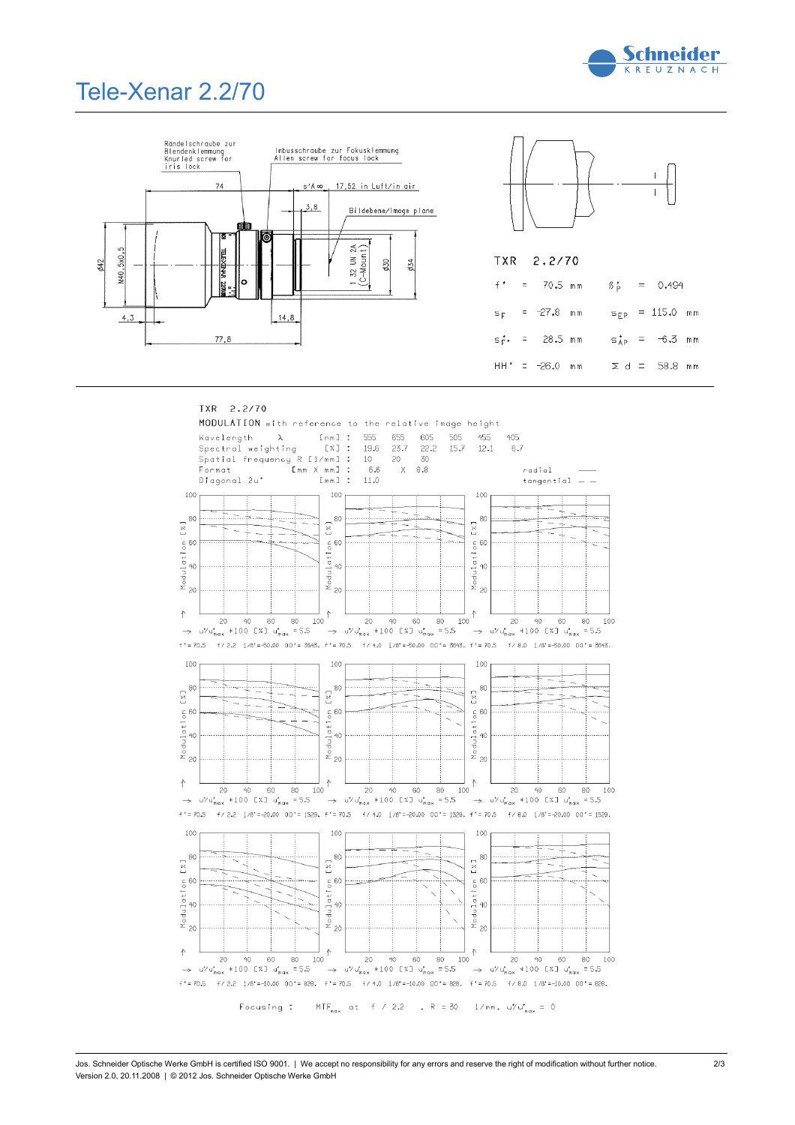

 $\Sigma$  d = 58.8 mm

## Tele-Xenar 2.2/70





HH' = -26.0 mm

#### TXR 2.2/70 MODULATION with reference to the relative image height 655 605  $[nm]$  : 555 455 505 Wavelength  $\lambda$  $405$ 23.7 Spectral weighting  $\Gamma \times 7$  : 19.6  $22.2$  $15.7$  $12.1$ 6.7 Spatial frequency R [1/mm] :<br>Format [mm X mm] : 30 10 20 Format  $6.6$  $\overline{X}$  $\,8.8$ radial Diagonal 2u'  $[mm]$ 11.0  $tangential = -$ 100 100 100  $\begin{bmatrix} 7.1 \\ 8 \\ 8 \end{bmatrix}$  $5 \frac{28}{3}$  $\begin{array}{c}\n\mathbb{C} \times 1 \\
\infty\n\end{array}$ ÷.  $\frac{c}{\delta}$ 60  $\frac{c}{\delta}$ 60  $_{\rm o}^{\rm c}$ 60  $\frac{1}{2}$  $\begin{array}{c}\n\text{Noudular} \\
\odot \\
\odot\n\end{array}$  $\begin{array}{c}\n\text{Modular} \\
\circ \\
\circ\n\end{array}$  $\frac{M_{\odot}}{20}$  $\overline{20}$  $\frac{1}{100}$  <br>  $\uparrow$  $\begin{array}{ccccccc}\nJ & \uparrow & & \begin{array}{ccccccc}\n\end{array} & & \begin{array}{ccccccc}\n\end{array} & & \begin{array}{ccccccc}\n\end{array} & & \begin{array}{ccccccc}\n\end{array} & & \begin{array}{ccccccc}\n\end{array} & & \begin{array}{ccccccc}\n\end{array} & & \begin{array}{ccccccc}\n\end{array} & & \begin{array}{ccccccc}\n\end{array} & & \begin{array}{ccccccc}\n\end{array} & & \begin{array}{ccccccc}\n\end{array} & & \begin{array}{ccccccc}\n\end{array} & & \begin{array}{ccccccc}\n\end{array} & & \begin{array}{ccccccc}\n\end{$  $\uparrow$ 80  $20$ 60  $40$ 100  $\rightarrow$  u/u<sub>max</sub> \*100 [X] u<sub>max</sub> = 5.5  $f = 70.5$  $f / 2.2 \quad 1/6^* = -50.00 \quad 00^* = 3643. \quad f^* = 70.5 \qquad f / 4.0 \quad 1/6^* = -50.00 \quad 00^* = 3643. \quad f^* = 70.5 \qquad f / 8.0 \quad 1/6^* = -50.00 \quad 00^* = 3643.$ 100 100 100  $520$  $\frac{1}{2}$ 80 80  $\sim$  $\sim$ ı  $\begin{array}{c}\n\text{Moduli of } \mathbb{R} \\
\otimes \qquad \oplus \qquad \text{for} \quad \mathbb{R}\n\end{array}$  $\overline{\phantom{a}}$  $\frac{c}{0}$  60  $\frac{c}{0}$  60 Modulati<br>20<br>20 Modulati<br>20  $\overline{20}$  $20$  $\frac{1}{100}$  <br>  $\uparrow$  $\frac{1}{100}$   $\uparrow$  $\uparrow$  $\infty$  $40$ 60  $80<sup>°</sup>$  $20$  $40$  $60$  $R()$ 20  $40 -$ 60  $80$ 100  $\rightarrow$  u<sup>7</sup>/u<sub>nax</sub> \*100 [X] u<sub>nax</sub> =5.5  $\rightarrow$  u<sup>7</sup> u<sup>2</sup><sub>max</sub> \*100 [X] u<sub>nax</sub> = 5.5  $\rightarrow$  u/u<sub>max</sub> \*100 [x] u<sub>max</sub> = 5.5  $f' = 70.5$   $f/2.2$   $1/6$ <sup>\*</sup> = -20.00 00<sup>+</sup> = 1529,  $f' = 70.5$   $f/4.0$   $1/6$ <sup>\*</sup> = -20.00 00<sup>+</sup> = 1529,  $f' = 70.5$   $f/8.0$   $1/6$ <sup>\*</sup> = -20.00 00<sup>+</sup> = 1529, 100 100 100  $5 \times 1$  $\overline{\begin{smallmatrix} 1\\ 1\\ 2\\ 3 \end{smallmatrix}}$ 80 80 [X]  $rac{60}{6}$  $rac{60}{6}$  $\frac{c}{0}$  60 Modulati<br>s<br>s  $y^{\text{Nodulation}}$ Modulati  $40$  $\infty$  $\infty$  $\infty$  $\frac{1}{100}$   $\uparrow$  $\ddot{\uparrow}$ 个 1<br>
20 40 60 80 1<br>
→ u<sup>1</sup>/u<sub>nax</sub> \*100 [ $\times$ ] u<sub>nax</sub> =5.5 60 80 100  $\overline{20}$  $40$ 20  $40$ 60 80 100  $\rightarrow$  u/'u'<sub>max</sub> \*100 [%] u'<sub>max</sub> =5.5  $\rightarrow$  u/ $u_{max}^{*}$  \*100 [%]  $u_{max}^{*}$  = 5.5  $f' = 70.5$   $f / 2.2$   $1/6$ <sup>r</sup> = -10.00 00' = 828,  $f' = 70.5$   $f / 4.0$   $1/6$ <sup>r</sup> = -10.00 00' = 828,  $f' = 70.5$   $f / 8.0$   $1/6$ <sup>r</sup> = -10.00 00' = 828,

 $MTF_{max}$  at f / 2.2 , R = 30 1/mm, u/'u'<sub>max</sub> = 0 Focusing :